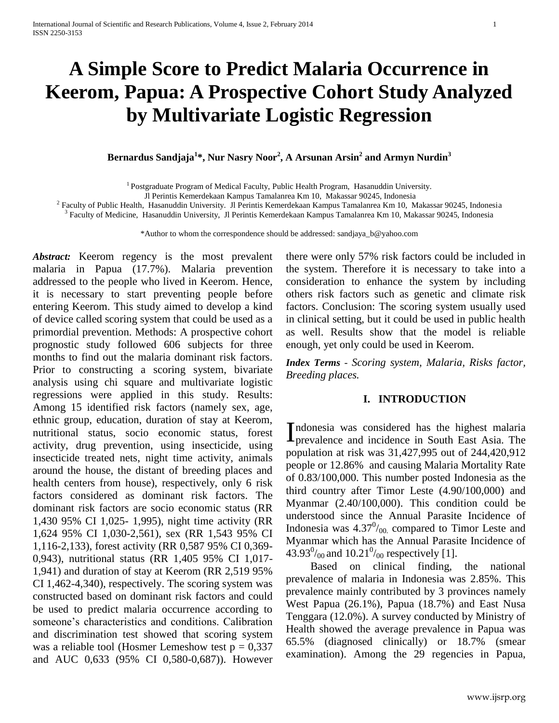# **A Simple Score to Predict Malaria Occurrence in Keerom, Papua: A Prospective Cohort Study Analyzed by Multivariate Logistic Regression**

**Bernardus Sandjaja<sup>1</sup> \*, Nur Nasry Noor<sup>2</sup> , A Arsunan Arsin<sup>2</sup> and Armyn Nurdin<sup>3</sup>**

<sup>1</sup> Postgraduate Program of Medical Faculty, Public Health Program, Hasanuddin University.

Jl Perintis Kemerdekaan Kampus Tamalanrea Km 10, Makassar 90245, Indonesia

<sup>2</sup> Faculty of Public Health, Hasanuddin University. Jl Perintis Kemerdekaan Kampus Tamalanrea Km 10, Makassar 90245, Indonesia

3 Faculty of Medicine, Hasanuddin University, Jl Perintis Kemerdekaan Kampus Tamalanrea Km 10, Makassar 90245, Indonesia

\*Author to whom the correspondence should be addressed[: sandjaya\\_b@yahoo.com](mailto:sandjaya_b@yahoo.com)

*Abstract:* Keerom regency is the most prevalent malaria in Papua (17.7%). Malaria prevention addressed to the people who lived in Keerom. Hence, it is necessary to start preventing people before entering Keerom. This study aimed to develop a kind of device called scoring system that could be used as a primordial prevention. Methods: A prospective cohort prognostic study followed 606 subjects for three months to find out the malaria dominant risk factors. Prior to constructing a scoring system, bivariate analysis using chi square and multivariate logistic regressions were applied in this study. Results: Among 15 identified risk factors (namely sex, age, ethnic group, education, duration of stay at Keerom, nutritional status, socio economic status, forest activity, drug prevention, using insecticide, using insecticide treated nets, night time activity, animals around the house, the distant of breeding places and health centers from house), respectively, only 6 risk factors considered as dominant risk factors. The dominant risk factors are socio economic status (RR 1,430 95% CI 1,025- 1,995), night time activity (RR 1,624 95% CI 1,030-2,561), sex (RR 1,543 95% CI 1,116-2,133), forest activity (RR 0,587 95% CI 0,369- 0,943), nutritional status (RR 1,405 95% CI 1,017- 1,941) and duration of stay at Keerom (RR 2,519 95% CI 1,462-4,340), respectively. The scoring system was constructed based on dominant risk factors and could be used to predict malaria occurrence according to someone's characteristics and conditions. Calibration and discrimination test showed that scoring system was a reliable tool (Hosmer Lemeshow test  $p = 0,337$ and AUC 0,633 (95% CI 0,580-0,687)). However there were only 57% risk factors could be included in the system. Therefore it is necessary to take into a consideration to enhance the system by including others risk factors such as genetic and climate risk factors. Conclusion: The scoring system usually used in clinical setting, but it could be used in public health as well. Results show that the model is reliable enough, yet only could be used in Keerom.

*Index Terms - Scoring system, Malaria, Risks factor, Breeding places.* 

#### **I. INTRODUCTION**

ndonesia was considered has the highest malaria Indonesia was considered has the highest malaria<br>prevalence and incidence in South East Asia. The population at risk was 31,427,995 out of 244,420,912 people or 12.86% and causing Malaria Mortality Rate of 0.83/100,000. This number posted Indonesia as the third country after Timor Leste (4.90/100,000) and Myanmar (2.40/100,000). This condition could be understood since the Annual Parasite Incidence of Indonesia was  $4.37^{\circ\prime}$ <sub>00</sub> compared to Timor Leste and Myanmar which has the Annual Parasite Incidence of 43.93 $\frac{0}{00}$  and 10.21 $\frac{0}{00}$  respectively [\[1\]](#page-7-0).

Based on clinical finding, the national prevalence of malaria in Indonesia was 2.85%. This prevalence mainly contributed by 3 provinces namely West Papua (26.1%), Papua (18.7%) and East Nusa Tenggara (12.0%). A survey conducted by Ministry of Health showed the average prevalence in Papua was 65.5% (diagnosed clinically) or 18.7% (smear examination). Among the 29 regencies in Papua,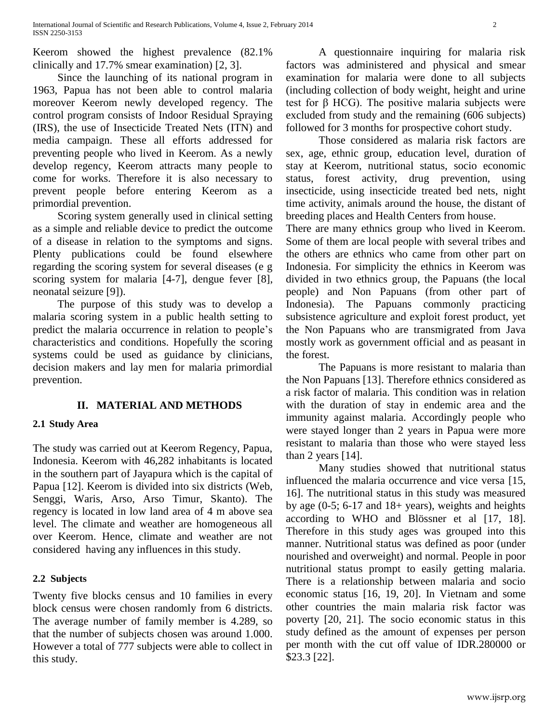Keerom showed the highest prevalence (82.1% clinically and 17.7% smear examination) [\[2,](#page-7-1) [3\]](#page-8-0).

Since the launching of its national program in 1963, Papua has not been able to control malaria moreover Keerom newly developed regency. The control program consists of Indoor Residual Spraying (IRS), the use of Insecticide Treated Nets (ITN) and media campaign. These all efforts addressed for preventing people who lived in Keerom. As a newly develop regency, Keerom attracts many people to come for works. Therefore it is also necessary to prevent people before entering Keerom as a primordial prevention.

Scoring system generally used in clinical setting as a simple and reliable device to predict the outcome of a disease in relation to the symptoms and signs. Plenty publications could be found elsewhere regarding the scoring system for several diseases (e g scoring system for malaria [\[4-7\]](#page-8-1), dengue fever [\[8\]](#page-8-2), neonatal seizure [\[9\]](#page-8-3)).

The purpose of this study was to develop a malaria scoring system in a public health setting to predict the malaria occurrence in relation to people's characteristics and conditions. Hopefully the scoring systems could be used as guidance by clinicians, decision makers and lay men for malaria primordial prevention.

## **II. MATERIAL AND METHODS**

#### **2.1 Study Area**

The study was carried out at Keerom Regency, Papua, Indonesia. Keerom with 46,282 inhabitants is located in the southern part of Jayapura which is the capital of Papua [\[12\]](#page-8-4). Keerom is divided into six districts (Web, Senggi, Waris, Arso, Arso Timur, Skanto). The regency is located in low land area of 4 m above sea level. The climate and weather are homogeneous all over Keerom. Hence, climate and weather are not considered having any influences in this study.

#### **2.2 Subjects**

Twenty five blocks census and 10 families in every block census were chosen randomly from 6 districts. The average number of family member is 4.289, so that the number of subjects chosen was around 1.000. However a total of 777 subjects were able to collect in this study.

A questionnaire inquiring for malaria risk factors was administered and physical and smear examination for malaria were done to all subjects (including collection of body weight, height and urine test for β HCG). The positive malaria subjects were excluded from study and the remaining (606 subjects) followed for 3 months for prospective cohort study.

Those considered as malaria risk factors are sex, age, ethnic group, education level, duration of stay at Keerom, nutritional status, socio economic status, forest activity, drug prevention, using insecticide, using insecticide treated bed nets, night time activity, animals around the house, the distant of breeding places and Health Centers from house.

There are many ethnics group who lived in Keerom. Some of them are local people with several tribes and the others are ethnics who came from other part on Indonesia. For simplicity the ethnics in Keerom was divided in two ethnics group, the Papuans (the local people) and Non Papuans (from other part of Indonesia). The Papuans commonly practicing subsistence agriculture and exploit forest product, yet the Non Papuans who are transmigrated from Java mostly work as government official and as peasant in the forest.

The Papuans is more resistant to malaria than the Non Papuans [\[13\]](#page-8-5). Therefore ethnics considered as a risk factor of malaria. This condition was in relation with the duration of stay in endemic area and the immunity against malaria. Accordingly people who were stayed longer than 2 years in Papua were more resistant to malaria than those who were stayed less than 2 years [\[14\]](#page-8-6).

Many studies showed that nutritional status influenced the malaria occurrence and vice versa [\[15,](#page-8-7) [16\]](#page-8-8). The nutritional status in this study was measured by age  $(0-5; 6-17$  and  $18+$  years), weights and heights according to WHO and Blössner et al [\[17,](#page-8-9) [18\]](#page-8-10). Therefore in this study ages was grouped into this manner. Nutritional status was defined as poor (under nourished and overweight) and normal. People in poor nutritional status prompt to easily getting malaria. There is a relationship between malaria and socio economic status [\[16,](#page-8-8) [19,](#page-8-11) [20\]](#page-8-12). In Vietnam and some other countries the main malaria risk factor was poverty [\[20,](#page-8-12) [21\]](#page-8-13). The socio economic status in this study defined as the amount of expenses per person per month with the cut off value of IDR.280000 or \$23.3 [\[22\]](#page-9-0).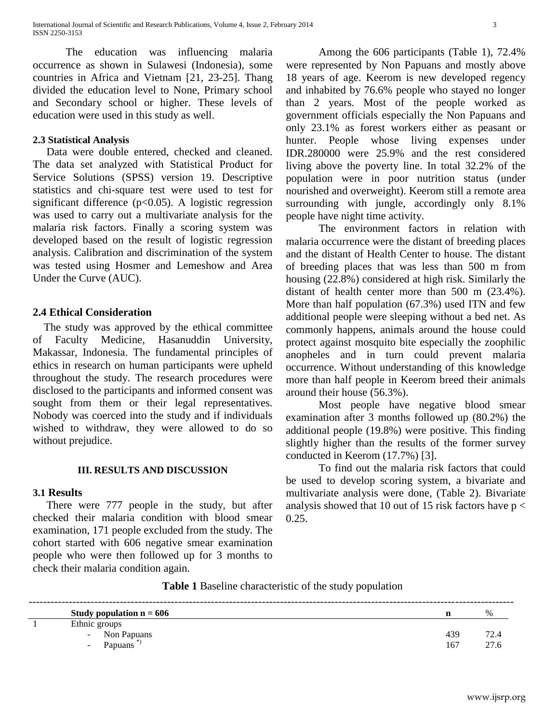The education was influencing malaria occurrence as shown in Sulawesi (Indonesia), some countries in Africa and Vietnam [\[21,](#page-8-13) [23-25\]](#page-9-1). Thang divided the education level to None, Primary school and Secondary school or higher. These levels of education were used in this study as well.

#### **2.3 Statistical Analysis**

 Data were double entered, checked and cleaned. The data set analyzed with Statistical Product for Service Solutions (SPSS) version 19. Descriptive statistics and chi-square test were used to test for significant difference  $(p<0.05)$ . A logistic regression was used to carry out a multivariate analysis for the malaria risk factors. Finally a scoring system was developed based on the result of logistic regression analysis. Calibration and discrimination of the system was tested using Hosmer and Lemeshow and Area Under the Curve (AUC).

#### **2.4 Ethical Consideration**

 The study was approved by the ethical committee of Faculty Medicine, Hasanuddin University, Makassar, Indonesia. The fundamental principles of ethics in research on human participants were upheld throughout the study. The research procedures were disclosed to the participants and informed consent was sought from them or their legal representatives. Nobody was coerced into the study and if individuals wished to withdraw, they were allowed to do so without prejudice.

#### **III. RESULTS AND DISCUSSION**

#### **3.1 Results**

 There were 777 people in the study, but after checked their malaria condition with blood smear examination, 171 people excluded from the study. The cohort started with 606 negative smear examination people who were then followed up for 3 months to check their malaria condition again.

Among the 606 participants (Table 1), 72.4% were represented by Non Papuans and mostly above 18 years of age. Keerom is new developed regency and inhabited by 76.6% people who stayed no longer than 2 years. Most of the people worked as government officials especially the Non Papuans and only 23.1% as forest workers either as peasant or hunter. People whose living expenses under IDR.280000 were 25.9% and the rest considered living above the poverty line. In total 32.2% of the population were in poor nutrition status (under nourished and overweight). Keerom still a remote area surrounding with jungle, accordingly only 8.1% people have night time activity.

The environment factors in relation with malaria occurrence were the distant of breeding places and the distant of Health Center to house. The distant of breeding places that was less than 500 m from housing (22.8%) considered at high risk. Similarly the distant of health center more than 500 m (23.4%). More than half population (67.3%) used ITN and few additional people were sleeping without a bed net. As commonly happens, animals around the house could protect against mosquito bite especially the zoophilic anopheles and in turn could prevent malaria occurrence. Without understanding of this knowledge more than half people in Keerom breed their animals around their house (56.3%).

Most people have negative blood smear examination after 3 months followed up (80.2%) the additional people (19.8%) were positive. This finding slightly higher than the results of the former survey conducted in Keerom (17.7%) [\[3\]](#page-8-0).

To find out the malaria risk factors that could be used to develop scoring system, a bivariate and multivariate analysis were done, (Table 2). Bivariate analysis showed that 10 out of 15 risk factors have  $p <$  $0.25.$ 

**Table 1** Baseline characteristic of the study population

| Study population $n = 606$ |     | $\%$ |
|----------------------------|-----|------|
| Ethnic groups              |     |      |
| - Non Papuans              | 439 |      |
| <b>Papuans</b><br>$\sim$   | 167 |      |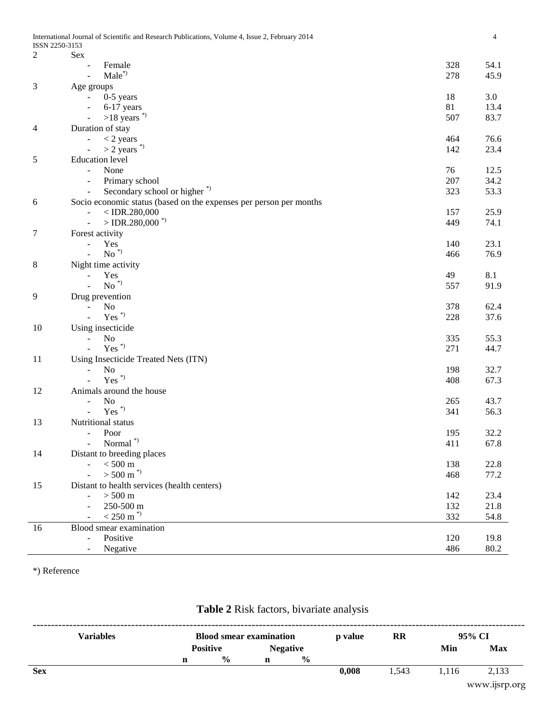| $\overline{c}$ | Sex                                                                |     |      |
|----------------|--------------------------------------------------------------------|-----|------|
|                | Female                                                             | 328 | 54.1 |
|                | $Male^*$<br>$\overline{a}$                                         | 278 | 45.9 |
| 3              | Age groups                                                         |     |      |
|                | $0-5$ years<br>$\blacksquare$                                      | 18  | 3.0  |
|                | 6-17 years<br>$\overline{\phantom{0}}$                             | 81  | 13.4 |
|                | $>18$ years <sup>*</sup>                                           | 507 | 83.7 |
| 4              | Duration of stay                                                   |     |      |
|                | $<$ 2 years                                                        | 464 | 76.6 |
|                | $>$ 2 years $\degree$                                              | 142 | 23.4 |
| 5              | <b>Education</b> level                                             |     |      |
|                | None<br>$\overline{a}$                                             | 76  | 12.5 |
|                |                                                                    | 207 | 34.2 |
|                | Primary school<br>$\blacksquare$                                   |     |      |
|                | Secondary school or higher <sup>*</sup> )<br>$\blacksquare$        | 323 | 53.3 |
| 6              | Socio economic status (based on the expenses per person per months |     |      |
|                | $<$ IDR.280,000<br>$\overline{\phantom{0}}$                        | 157 | 25.9 |
|                | $>$ IDR.280,000 <sup>*</sup><br>$\blacksquare$                     | 449 | 74.1 |
| 7              | Forest activity                                                    |     |      |
|                | Yes<br>÷,                                                          | 140 | 23.1 |
|                | $\mathrm{No}$ $^{*})$                                              | 466 | 76.9 |
| 8              | Night time activity                                                |     |      |
|                | Yes                                                                | 49  | 8.1  |
|                | $No^*$                                                             | 557 | 91.9 |
| 9              | Drug prevention                                                    |     |      |
|                | No                                                                 | 378 | 62.4 |
|                | $Yes^*$<br>$\overline{a}$                                          | 228 | 37.6 |
| 10             | Using insecticide                                                  |     |      |
|                | No<br>$\overline{a}$                                               | 335 | 55.3 |
|                | $Yes^*$                                                            | 271 | 44.7 |
| 11             | Using Insecticide Treated Nets (ITN)                               |     |      |
|                | No<br>L,                                                           | 198 | 32.7 |
|                | $Yes^*$                                                            | 408 | 67.3 |
|                |                                                                    |     |      |
| 12             | Animals around the house                                           |     |      |
|                | No<br>$\overline{a}$<br>$Yes^*$                                    | 265 | 43.7 |
|                |                                                                    | 341 | 56.3 |
| 13             | Nutritional status                                                 |     |      |
|                | Poor<br>$\frac{1}{2}$                                              | 195 | 32.2 |
|                | Normal <sup>*</sup><br>$\overline{a}$                              | 411 | 67.8 |
| 14             | Distant to breeding places                                         |     |      |
|                | $< 500~\mathrm{m}$<br>$\overline{a}$                               | 138 | 22.8 |
|                | $> 500 \text{ m}^{*}$                                              | 468 | 77.2 |
| 15             | Distant to health services (health centers)                        |     |      |
|                | $> 500$ m<br>÷,                                                    | 142 | 23.4 |
|                | 250-500 m                                                          | 132 | 21.8 |
|                | $< 250 \mathrm{m}^{*}$                                             | 332 | 54.8 |
| 16             | Blood smear examination                                            |     |      |
|                | Positive<br>$\overline{a}$                                         | 120 | 19.8 |
|                | Negative                                                           | 486 | 80.2 |
|                |                                                                    |     |      |

\*) Reference

## **Table 2** Risk factors, bivariate analysis

|            | <b>Variables</b> |   | <b>Blood smear examination</b> |   |                 | p value | <b>RR</b> |       | 95% CI        |
|------------|------------------|---|--------------------------------|---|-----------------|---------|-----------|-------|---------------|
|            |                  |   | <b>Positive</b>                |   | <b>Negative</b> |         |           | Min   | <b>Max</b>    |
|            |                  | n | $\frac{0}{0}$                  | n | $\frac{6}{9}$   |         |           |       |               |
| <b>Sex</b> |                  |   |                                |   |                 | 0,008   | 1,543     | 1,116 | 2,133         |
|            |                  |   |                                |   |                 |         |           |       | www.ijsrp.org |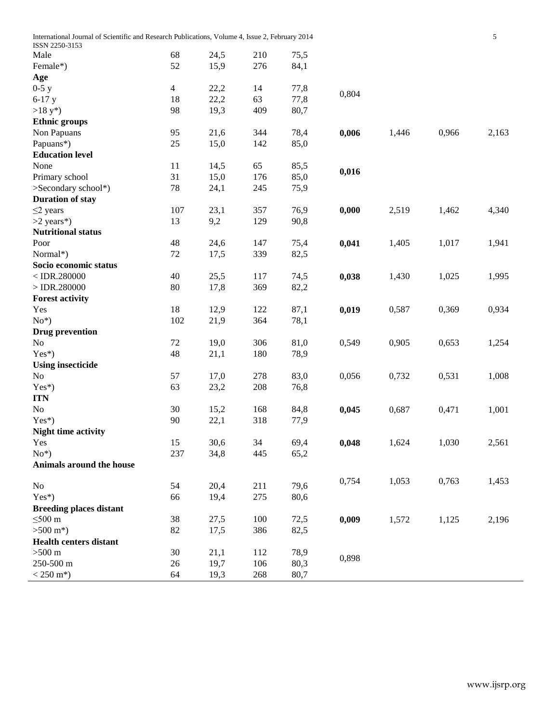| International Journal of Scientific and Research Publications, Volume 4, Issue 2, February 2014<br>ISSN 2250-3153 |                |      |     |      |       |       |       | 5     |
|-------------------------------------------------------------------------------------------------------------------|----------------|------|-----|------|-------|-------|-------|-------|
| Male                                                                                                              | 68             | 24,5 | 210 | 75,5 |       |       |       |       |
| Female*)                                                                                                          | 52             | 15,9 | 276 | 84,1 |       |       |       |       |
| Age                                                                                                               |                |      |     |      |       |       |       |       |
| $0-5y$                                                                                                            | $\overline{4}$ | 22,2 | 14  | 77,8 |       |       |       |       |
| $6-17$ y                                                                                                          | 18             | 22,2 | 63  | 77,8 | 0,804 |       |       |       |
| $>18 y^*$                                                                                                         | 98             | 19,3 | 409 | 80,7 |       |       |       |       |
| <b>Ethnic groups</b>                                                                                              |                |      |     |      |       |       |       |       |
| Non Papuans                                                                                                       | 95             | 21,6 | 344 | 78,4 | 0,006 | 1,446 | 0,966 | 2,163 |
| Papuans*)                                                                                                         | 25             | 15,0 | 142 | 85,0 |       |       |       |       |
| <b>Education level</b>                                                                                            |                |      |     |      |       |       |       |       |
| None                                                                                                              | 11             | 14,5 | 65  | 85,5 |       |       |       |       |
| Primary school                                                                                                    | 31             | 15,0 | 176 | 85,0 | 0,016 |       |       |       |
| >Secondary school*)                                                                                               | 78             | 24,1 | 245 | 75,9 |       |       |       |       |
| <b>Duration of stay</b>                                                                                           |                |      |     |      |       |       |       |       |
| $\leq$ 2 years                                                                                                    | 107            | 23,1 | 357 | 76,9 | 0,000 | 2,519 | 1,462 | 4,340 |
| $>2$ years*)                                                                                                      | 13             | 9,2  | 129 | 90,8 |       |       |       |       |
| <b>Nutritional status</b>                                                                                         |                |      |     |      |       |       |       |       |
| Poor                                                                                                              | 48             | 24,6 | 147 | 75,4 | 0,041 | 1,405 | 1,017 | 1,941 |
| Normal*)                                                                                                          | $72\,$         | 17,5 | 339 | 82,5 |       |       |       |       |
| Socio economic status                                                                                             |                |      |     |      |       |       |       |       |
| $<$ IDR.280000                                                                                                    | 40             | 25,5 | 117 | 74,5 | 0,038 | 1,430 | 1,025 | 1,995 |
| $>$ IDR.280000                                                                                                    | 80             | 17,8 | 369 | 82,2 |       |       |       |       |
| <b>Forest activity</b>                                                                                            |                |      |     |      |       |       |       |       |
| Yes                                                                                                               | 18             | 12,9 | 122 | 87,1 | 0,019 | 0,587 | 0,369 | 0,934 |
| $No*$                                                                                                             | 102            | 21,9 | 364 | 78,1 |       |       |       |       |
| <b>Drug prevention</b>                                                                                            |                |      |     |      |       |       |       |       |
| No                                                                                                                | $72\,$         | 19,0 | 306 | 81,0 | 0,549 | 0,905 | 0,653 | 1,254 |
| Yes*)                                                                                                             | 48             | 21,1 | 180 | 78,9 |       |       |       |       |
| <b>Using insecticide</b>                                                                                          |                |      |     |      |       |       |       |       |
| No                                                                                                                | 57             | 17,0 | 278 | 83,0 | 0,056 | 0,732 | 0,531 | 1,008 |
| Yes*)                                                                                                             | 63             | 23,2 | 208 | 76,8 |       |       |       |       |
| <b>ITN</b>                                                                                                        |                |      |     |      |       |       |       |       |
| No                                                                                                                | 30             | 15,2 | 168 | 84,8 | 0,045 | 0,687 | 0,471 | 1,001 |
| $Yes^*$                                                                                                           | 90             | 22,1 | 318 | 77,9 |       |       |       |       |
| <b>Night time activity</b>                                                                                        |                |      |     |      |       |       |       |       |
| Yes                                                                                                               | 15             | 30,6 | 34  | 69,4 | 0,048 | 1,624 | 1,030 | 2,561 |
| $No*$                                                                                                             | 237            | 34,8 | 445 | 65,2 |       |       |       |       |
| Animals around the house                                                                                          |                |      |     |      |       |       |       |       |
| $\rm No$                                                                                                          | 54             | 20,4 | 211 | 79,6 | 0,754 | 1,053 | 0,763 | 1,453 |
| $Yes^*)$                                                                                                          | 66             | 19,4 | 275 | 80,6 |       |       |       |       |
| <b>Breeding places distant</b>                                                                                    |                |      |     |      |       |       |       |       |
| $\leq 500$ m                                                                                                      | 38             | 27,5 | 100 | 72,5 | 0,009 | 1,572 | 1,125 | 2,196 |
| $>500 \text{ m}^*$ )                                                                                              | 82             | 17,5 | 386 | 82,5 |       |       |       |       |
| <b>Health centers distant</b>                                                                                     |                |      |     |      |       |       |       |       |
| $>500$ m                                                                                                          | 30             | 21,1 | 112 | 78,9 |       |       |       |       |
| 250-500 m                                                                                                         | 26             | 19,7 | 106 | 80,3 | 0,898 |       |       |       |
| $< 250 \text{ m}^*$ )                                                                                             | 64             | 19,3 | 268 | 80,7 |       |       |       |       |

 $\overline{\phantom{a}}$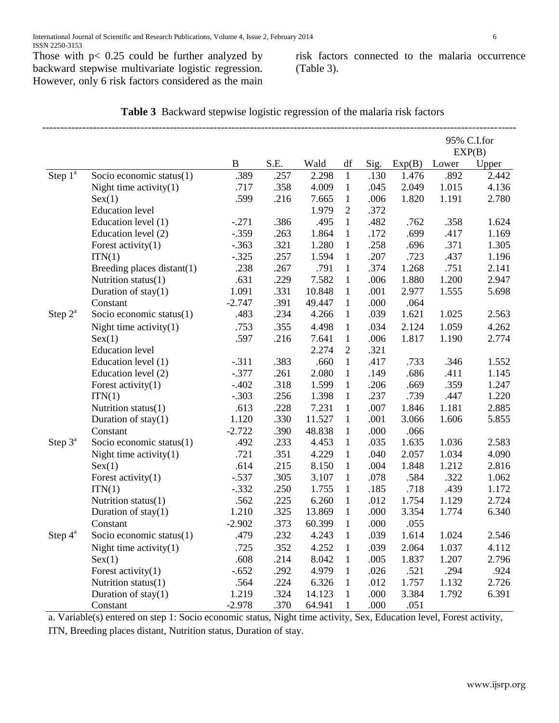Those with  $p < 0.25$  could be further analyzed by backward stepwise multivariate logistic regression. However, only 6 risk factors considered as the main risk factors connected to the malaria occurrence (Table 3).

| <b>Table 3</b> Backward stepwise logistic regression of the malaria risk factors |  |  |
|----------------------------------------------------------------------------------|--|--|
|----------------------------------------------------------------------------------|--|--|

|            |                             |          |      |        |                |      |        |       | 95% C.I.for<br>EXP(B) |
|------------|-----------------------------|----------|------|--------|----------------|------|--------|-------|-----------------------|
|            |                             | B        | S.E. | Wald   | df             | Sig. | Exp(B) | Lower | Upper                 |
| Step $1^a$ | Socio economic status(1)    | .389     | .257 | 2.298  | $\mathbf{1}$   | .130 | 1.476  | .892  | 2.442                 |
|            | Night time activity $(1)$   | .717     | .358 | 4.009  | $\mathbf{1}$   | .045 | 2.049  | 1.015 | 4.136                 |
|            | Sex(1)                      | .599     | .216 | 7.665  | $\mathbf{1}$   | .006 | 1.820  | 1.191 | 2.780                 |
|            | <b>Education</b> level      |          |      | 1.979  | $\overline{2}$ | .372 |        |       |                       |
|            | Education level (1)         | $-.271$  | .386 | .495   | $\mathbf{1}$   | .482 | .762   | .358  | 1.624                 |
|            | Education level (2)         | $-.359$  | .263 | 1.864  | $\mathbf{1}$   | .172 | .699   | .417  | 1.169                 |
|            | Forest activity $(1)$       | $-.363$  | .321 | 1.280  | $\mathbf{1}$   | .258 | .696   | .371  | 1.305                 |
|            | ITN(1)                      | $-.325$  | .257 | 1.594  | $\mathbf{1}$   | .207 | .723   | .437  | 1.196                 |
|            | Breeding places distant(1)  | .238     | .267 | .791   | $\mathbf{1}$   | .374 | 1.268  | .751  | 2.141                 |
|            | Nutrition status(1)         | .631     | .229 | 7.582  | $\mathbf{1}$   | .006 | 1.880  | 1.200 | 2.947                 |
|            | Duration of $stay(1)$       | 1.091    | .331 | 10.848 | $\mathbf{1}$   | .001 | 2.977  | 1.555 | 5.698                 |
|            | Constant                    | $-2.747$ | .391 | 49.447 | $\mathbf{1}$   | .000 | .064   |       |                       |
| Step $2^a$ | Socio economic status $(1)$ | .483     | .234 | 4.266  | $\mathbf{1}$   | .039 | 1.621  | 1.025 | 2.563                 |
|            | Night time activity $(1)$   | .753     | .355 | 4.498  | $\mathbf{1}$   | .034 | 2.124  | 1.059 | 4.262                 |
|            | Sex(1)                      | .597     | .216 | 7.641  | $\mathbf{1}$   | .006 | 1.817  | 1.190 | 2.774                 |
|            | <b>Education</b> level      |          |      | 2.274  | $\overline{2}$ | .321 |        |       |                       |
|            | Education level (1)         | $-.311$  | .383 | .660   | $\mathbf{1}$   | .417 | .733   | .346  | 1.552                 |
|            | Education level (2)         | $-.377$  | .261 | 2.080  | $\mathbf{1}$   | .149 | .686   | .411  | 1.145                 |
|            | Forest activity $(1)$       | $-.402$  | .318 | 1.599  | $\mathbf{1}$   | .206 | .669   | .359  | 1.247                 |
|            | ITN(1)                      | $-.303$  | .256 | 1.398  | $\mathbf{1}$   | .237 | .739   | .447  | 1.220                 |
|            | Nutrition status(1)         | .613     | .228 | 7.231  | $\mathbf{1}$   | .007 | 1.846  | 1.181 | 2.885                 |
|            | Duration of $stay(1)$       | 1.120    | .330 | 11.527 | $\mathbf{1}$   | .001 | 3.066  | 1.606 | 5.855                 |
|            | Constant                    | $-2.722$ | .390 | 48.838 | $\mathbf{1}$   | .000 | .066   |       |                       |
| Step $3^a$ | Socio economic status(1)    | .492     | .233 | 4.453  | $\mathbf{1}$   | .035 | 1.635  | 1.036 | 2.583                 |
|            | Night time activity $(1)$   | .721     | .351 | 4.229  | $\mathbf{1}$   | .040 | 2.057  | 1.034 | 4.090                 |
|            | Sex(1)                      | .614     | .215 | 8.150  | $\mathbf{1}$   | .004 | 1.848  | 1.212 | 2.816                 |
|            | Forest activity $(1)$       | $-.537$  | .305 | 3.107  | $\mathbf{1}$   | .078 | .584   | .322  | 1.062                 |
|            | ITN(1)                      | $-.332$  | .250 | 1.755  | $\mathbf{1}$   | .185 | .718   | .439  | 1.172                 |
|            | Nutrition status(1)         | .562     | .225 | 6.260  | $\mathbf{1}$   | .012 | 1.754  | 1.129 | 2.724                 |
|            | Duration of $stay(1)$       | 1.210    | .325 | 13.869 | $\mathbf{1}$   | .000 | 3.354  | 1.774 | 6.340                 |
|            | Constant                    | $-2.902$ | .373 | 60.399 | $\mathbf{1}$   | .000 | .055   |       |                       |
| Step $4^a$ | Socio economic status $(1)$ | .479     | .232 | 4.243  | $\mathbf{1}$   | .039 | 1.614  | 1.024 | 2.546                 |
|            | Night time activity $(1)$   | .725     | .352 | 4.252  | $\mathbf{1}$   | .039 | 2.064  | 1.037 | 4.112                 |
|            | Sex(1)                      | .608     | .214 | 8.042  | $\mathbf{1}$   | .005 | 1.837  | 1.207 | 2.796                 |
|            | Forest activity $(1)$       | $-.652$  | .292 | 4.979  | $\mathbf{1}$   | .026 | .521   | .294  | .924                  |
|            | Nutrition status(1)         | .564     | .224 | 6.326  | $\mathbf{1}$   | .012 | 1.757  | 1.132 | 2.726                 |
|            | Duration of $stay(1)$       | 1.219    | .324 | 14.123 | $\mathbf{1}$   | .000 | 3.384  | 1.792 | 6.391                 |
|            | Constant                    | $-2.978$ | .370 | 64.941 | $\mathbf{1}$   | .000 | .051   |       |                       |

a. Variable(s) entered on step 1: Socio economic status, Night time activity, Sex, Education level, Forest activity,

ITN, Breeding places distant, Nutrition status, Duration of stay.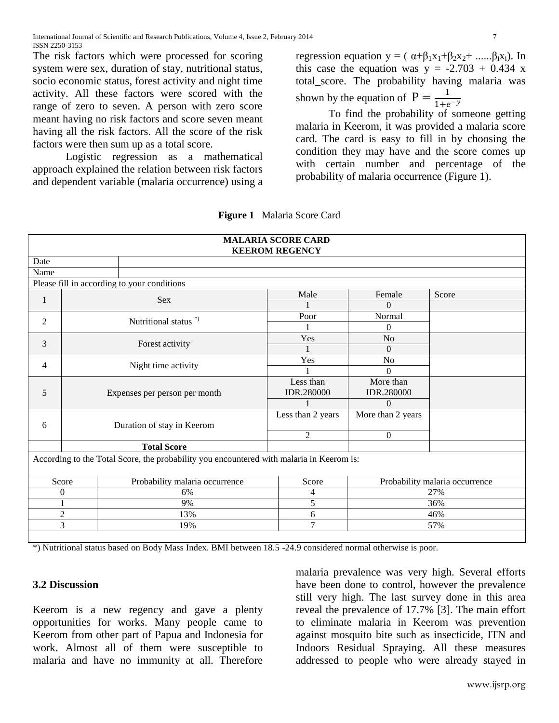The risk factors which were processed for scoring system were sex, duration of stay, nutritional status, socio economic status, forest activity and night time activity. All these factors were scored with the range of zero to seven. A person with zero score meant having no risk factors and score seven meant having all the risk factors. All the score of the risk factors were then sum up as a total score.

Logistic regression as a mathematical approach explained the relation between risk factors and dependent variable (malaria occurrence) using a

regression equation  $y = (\alpha + \beta_1 x_1 + \beta_2 x_2 + \dots \beta_i x_i)$ . In this case the equation was  $y = -2.703 + 0.434$  x total\_score. The probability having malaria was shown by the equation of  $P = \frac{1}{1+\epsilon}$  $\mathbf{1}$ 

To find the probability of someone getting malaria in Keerom, it was provided a malaria score card. The card is easy to fill in by choosing the condition they may have and the score comes up with certain number and percentage of the probability of malaria occurrence (Figure 1).

| <b>MALARIA SCORE CARD</b><br><b>KEEROM REGENCY</b> |                     |                                                                                                                                                                       |                                                   |                   |       |  |  |  |
|----------------------------------------------------|---------------------|-----------------------------------------------------------------------------------------------------------------------------------------------------------------------|---------------------------------------------------|-------------------|-------|--|--|--|
| Date                                               |                     |                                                                                                                                                                       |                                                   |                   |       |  |  |  |
| Name                                               |                     |                                                                                                                                                                       |                                                   |                   |       |  |  |  |
|                                                    |                     | Please fill in according to your conditions                                                                                                                           |                                                   |                   |       |  |  |  |
|                                                    |                     | Sex                                                                                                                                                                   | Male                                              | Female            | Score |  |  |  |
| $\mathbf{1}$                                       |                     |                                                                                                                                                                       |                                                   | $\Omega$          |       |  |  |  |
| $\overline{2}$                                     |                     | Nutritional status <sup>*</sup> )                                                                                                                                     | Poor                                              | Normal            |       |  |  |  |
|                                                    |                     |                                                                                                                                                                       |                                                   | $\Omega$          |       |  |  |  |
| 3                                                  |                     | Forest activity                                                                                                                                                       | Yes                                               | $\rm No$          |       |  |  |  |
|                                                    |                     |                                                                                                                                                                       |                                                   | $\theta$          |       |  |  |  |
| 4                                                  | Night time activity |                                                                                                                                                                       | Yes                                               | N <sub>o</sub>    |       |  |  |  |
|                                                    |                     |                                                                                                                                                                       |                                                   | $\Omega$          |       |  |  |  |
|                                                    |                     |                                                                                                                                                                       | Less than                                         | More than         |       |  |  |  |
| 5                                                  |                     | Expenses per person per month                                                                                                                                         | IDR.280000                                        | IDR.280000        |       |  |  |  |
|                                                    |                     |                                                                                                                                                                       |                                                   | $\Omega$          |       |  |  |  |
|                                                    |                     |                                                                                                                                                                       | Less than 2 years                                 | More than 2 years |       |  |  |  |
| 6                                                  |                     | Duration of stay in Keerom                                                                                                                                            |                                                   |                   |       |  |  |  |
|                                                    |                     |                                                                                                                                                                       | $\overline{2}$                                    | $\boldsymbol{0}$  |       |  |  |  |
|                                                    |                     | <b>Total Score</b>                                                                                                                                                    |                                                   |                   |       |  |  |  |
|                                                    |                     | According to the Total Score, the probability you encountered with malaria in Keerom is:                                                                              |                                                   |                   |       |  |  |  |
| Score<br>Probability malaria occurrence            |                     | Score                                                                                                                                                                 | Probability malaria occurrence                    |                   |       |  |  |  |
|                                                    | $\boldsymbol{0}$    | 6%                                                                                                                                                                    | 4                                                 |                   | 27%   |  |  |  |
|                                                    | 9%                  |                                                                                                                                                                       | 5                                                 |                   | 36%   |  |  |  |
|                                                    | $\overline{2}$      | 13%                                                                                                                                                                   | 6                                                 |                   | 46%   |  |  |  |
|                                                    | $\overline{3}$      | 19%                                                                                                                                                                   | $\overline{7}$                                    |                   | 57%   |  |  |  |
|                                                    |                     |                                                                                                                                                                       |                                                   |                   |       |  |  |  |
|                                                    |                     | $\mathbf{A}$ and $\mathbf{A}$ and $\mathbf{A}$ and $\mathbf{A}$ are $\mathbf{A}$ and $\mathbf{B}$ and $\mathbf{A}$ and $\mathbf{A}$ and $\mathbf{A}$ and $\mathbf{A}$ | $1.405$ $7.40$ $1.40$ $1.41$ $1.41$ $1.41$ $1.41$ |                   |       |  |  |  |

**Figure 1** Malaria Score Card

\*) Nutritional status based on Body Mass Index. BMI between 18.5 -24.9 considered normal otherwise is poor.

## **3.2 Discussion**

Keerom is a new regency and gave a plenty opportunities for works. Many people came to Keerom from other part of Papua and Indonesia for work. Almost all of them were susceptible to malaria and have no immunity at all. Therefore

malaria prevalence was very high. Several efforts have been done to control, however the prevalence still very high. The last survey done in this area reveal the prevalence of 17.7% [\[3\]](#page-8-0). The main effort to eliminate malaria in Keerom was prevention against mosquito bite such as insecticide, ITN and Indoors Residual Spraying. All these measures addressed to people who were already stayed in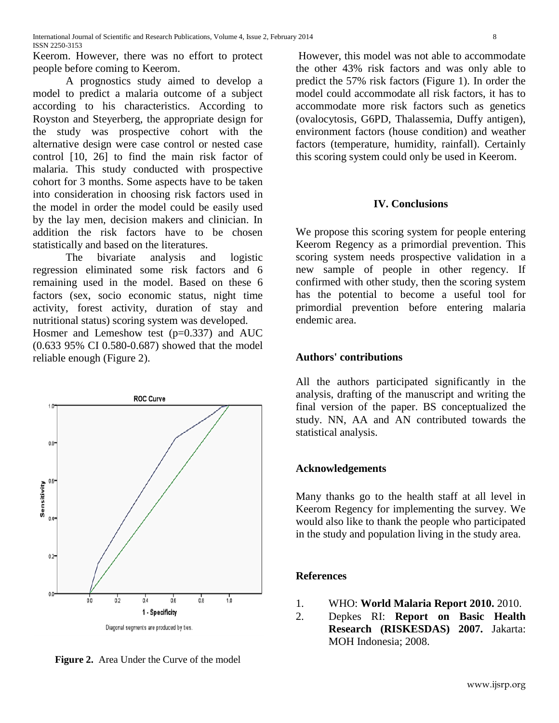Keerom. However, there was no effort to protect people before coming to Keerom.

A prognostics study aimed to develop a model to predict a malaria outcome of a subject according to his characteristics. According to Royston and Steyerberg, the appropriate design for the study was prospective cohort with the alternative design were case control or nested case control [\[10,](#page-8-14) [26\]](#page-9-2) to find the main risk factor of malaria. This study conducted with prospective cohort for 3 months. Some aspects have to be taken into consideration in choosing risk factors used in the model in order the model could be easily used by the lay men, decision makers and clinician. In addition the risk factors have to be chosen statistically and based on the literatures.

The bivariate analysis and logistic regression eliminated some risk factors and 6 remaining used in the model. Based on these 6 factors (sex, socio economic status, night time activity, forest activity, duration of stay and nutritional status) scoring system was developed. Hosmer and Lemeshow test  $(p=0.337)$  and AUC (0.633 95% CI 0.580-0.687) showed that the model reliable enough (Figure 2).



**Figure 2.** Area Under the Curve of the model

However, this model was not able to accommodate the other 43% risk factors and was only able to predict the 57% risk factors (Figure 1). In order the model could accommodate all risk factors, it has to accommodate more risk factors such as genetics (ovalocytosis, G6PD, Thalassemia, Duffy antigen), environment factors (house condition) and weather factors (temperature, humidity, rainfall). Certainly this scoring system could only be used in Keerom.

## **IV. Conclusions**

We propose this scoring system for people entering Keerom Regency as a primordial prevention. This scoring system needs prospective validation in a new sample of people in other regency. If confirmed with other study, then the scoring system has the potential to become a useful tool for primordial prevention before entering malaria endemic area.

## **Authors' contributions**

All the authors participated significantly in the analysis, drafting of the manuscript and writing the final version of the paper. BS conceptualized the study. NN, AA and AN contributed towards the statistical analysis.

## **Acknowledgements**

Many thanks go to the health staff at all level in Keerom Regency for implementing the survey. We would also like to thank the people who participated in the study and population living in the study area.

## **References**

- <span id="page-7-0"></span>1. WHO: **World Malaria Report 2010.** 2010.
- <span id="page-7-1"></span>2. Depkes RI: **Report on Basic Health Research (RISKESDAS) 2007.** Jakarta: MOH Indonesia; 2008.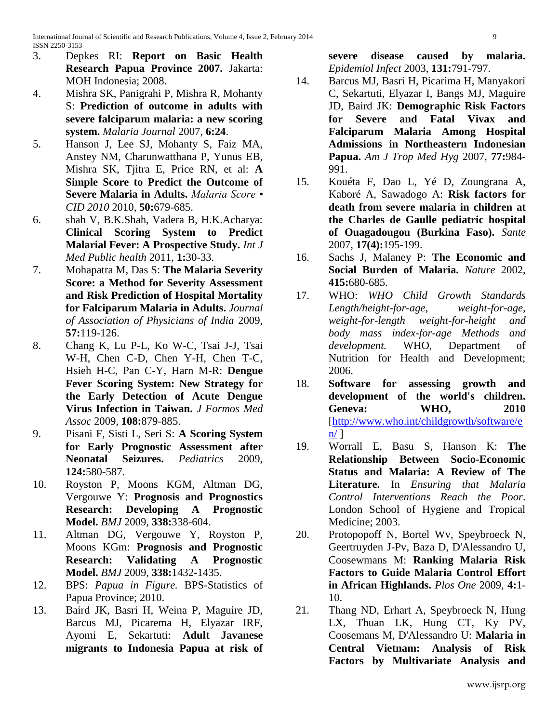- <span id="page-8-0"></span>3. Depkes RI: **Report on Basic Health Research Papua Province 2007.** Jakarta: MOH Indonesia; 2008.
- <span id="page-8-1"></span>4. Mishra SK, Panigrahi P, Mishra R, Mohanty S: **Prediction of outcome in adults with severe falciparum malaria: a new scoring system.** *Malaria Journal* 2007, **6:24**.
- 5. Hanson J, Lee SJ, Mohanty S, Faiz MA, Anstey NM, Charunwatthana P, Yunus EB, Mishra SK, Tjitra E, Price RN, et al: **A Simple Score to Predict the Outcome of Severe Malaria in Adults.** *Malaria Score • CID 2010* 2010, **50:**679-685.
- 6. shah V, B.K.Shah, Vadera B, H.K.Acharya: **Clinical Scoring System to Predict Malarial Fever: A Prospective Study.** *Int J Med Public health* 2011, **1:**30-33.
- 7. Mohapatra M, Das S: **The Malaria Severity Score: a Method for Severity Assessment and Risk Prediction of Hospital Mortality for Falciparum Malaria in Adults.** *Journal of Association of Physicians of India* 2009, **57:**119-126.
- <span id="page-8-2"></span>8. Chang K, Lu P-L, Ko W-C, Tsai J-J, Tsai W-H, Chen C-D, Chen Y-H, Chen T-C, Hsieh H-C, Pan C-Y, Harn M-R: **Dengue Fever Scoring System: New Strategy for the Early Detection of Acute Dengue Virus Infection in Taiwan.** *J Formos Med Assoc* 2009, **108:**879-885.
- <span id="page-8-3"></span>9. Pisani F, Sisti L, Seri S: **A Scoring System for Early Prognostic Assessment after Neonatal Seizures.** *Pediatrics* 2009, **124:**580-587.
- <span id="page-8-14"></span>10. Royston P, Moons KGM, Altman DG, Vergouwe Y: **Prognosis and Prognostics Research: Developing A Prognostic Model.** *BMJ* 2009, **338:**338-604.
- 11. Altman DG, Vergouwe Y, Royston P, Moons KGm: **Prognosis and Prognostic Research: Validating A Prognostic Model.** *BMJ* 2009, **338:**1432-1435.
- <span id="page-8-4"></span>12. BPS: *Papua in Figure.* BPS-Statistics of Papua Province; 2010.
- <span id="page-8-5"></span>13. Baird JK, Basri H, Weina P, Maguire JD, Barcus MJ, Picarema H, Elyazar IRF, Ayomi E, Sekartuti: **Adult Javanese migrants to Indonesia Papua at risk of**

**severe disease caused by malaria.** *Epidemiol Infect* 2003, **131:**791-797.

- <span id="page-8-6"></span>14. Barcus MJ, Basri H, Picarima H, Manyakori C, Sekartuti, Elyazar I, Bangs MJ, Maguire JD, Baird JK: **Demographic Risk Factors for Severe and Fatal Vivax and Falciparum Malaria Among Hospital Admissions in Northeastern Indonesian Papua.** *Am J Trop Med Hyg* 2007, **77:**984- 991.
- <span id="page-8-7"></span>15. Kouéta F, Dao L, Yé D, Zoungrana A, Kaboré A, Sawadogo A: **Risk factors for death from severe malaria in children at the Charles de Gaulle pediatric hospital of Ouagadougou (Burkina Faso).** *Sante*  2007, **17(4):**195-199.
- <span id="page-8-8"></span>16. Sachs J, Malaney P: **The Economic and Social Burden of Malaria.** *Nature* 2002, **415:**680-685.
- <span id="page-8-9"></span>17. WHO: *WHO Child Growth Standards Length/height-for-age, weight-for-age, weight-for-length weight-for-height and body mass index-for-age Methods and development.* WHO, Department of Nutrition for Health and Development; 2006.
- <span id="page-8-10"></span>18. **Software for assessing growth and development of the world's children. Geneva: WHO, 2010**  [\[http://www.who.int/childgrowth/software/e](http://www.who.int/childgrowth/software/en/)  $n/1$  $n/1$
- <span id="page-8-11"></span>19. Worrall E, Basu S, Hanson K: **The Relationship Between Socio-Economic Status and Malaria: A Review of The Literature.** In *Ensuring that Malaria Control Interventions Reach the Poor*. London School of Hygiene and Tropical Medicine; 2003.
- <span id="page-8-12"></span>20. Protopopoff N, Bortel Wv, Speybroeck N, Geertruyden J-Pv, Baza D, D'Alessandro U, Coosewmans M: **Ranking Malaria Risk Factors to Guide Malaria Control Effort in African Highlands.** *Plos One* 2009, **4:**1- 10.
- <span id="page-8-13"></span>21. Thang ND, Erhart A, Speybroeck N, Hung LX, Thuan LK, Hung CT, Ky PV, Coosemans M, D'Alessandro U: **Malaria in Central Vietnam: Analysis of Risk Factors by Multivariate Analysis and**